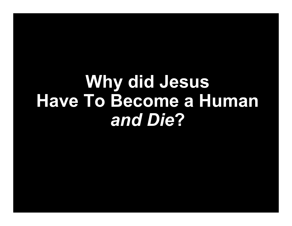# **Why did Jesus Have To Become a Human**  *and Die* **?**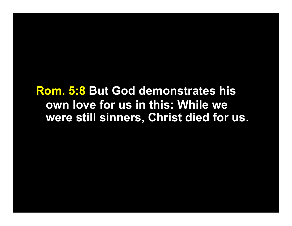**Rom. 5:8 But God demonstrates his own love for us in this: While we were still sinners, Christ died for us**.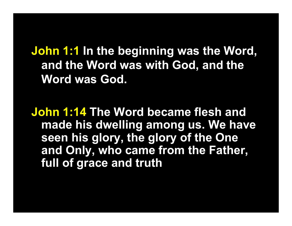**John 1:1 In the beginning was the Word, and the Word was with God, and the Word was God.**

**John 1:14 The Word became flesh and made his dwelling among us. We have seen his glory, the glory of the One and Only, who came from the Father, full of grace and truth**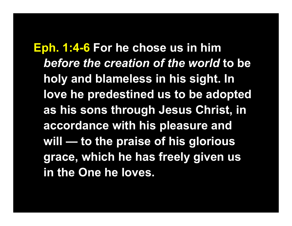**Eph. 1:4-6 For he chose us in him**  *before the creation of the world* **to be holy and blameless in his sight. In love he predestined us to be adopted as his sons through Jesus Christ, in accordance with his pleasure and will — to the praise of his glorious grace, which he has freely given us in the One he loves.**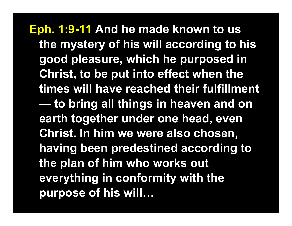**Eph. 1:9-11 And he made known to us the mystery of his will according to his good pleasure, which he purposed in Christ, to be put into effect when the times will have reached their fulfillment to bring all things in heaven and on earth together under one head, even Christ. In him we were also chosen, having been predestined according to the plan of him who works out everything in conformity with the purpose of his will…**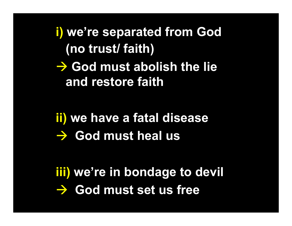**i) we're separated from God (no trust/ faith)** 

**→ God must abolish the lie and restore faith**

**ii) we have a fatal disease → God must heal us** 

**iii) we're in bondage to devil → God must set us free**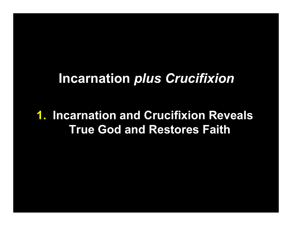## **Incarnation** *plus Crucifixion*

#### **1. Incarnation and Crucifixion Reveals True God and Restores Faith**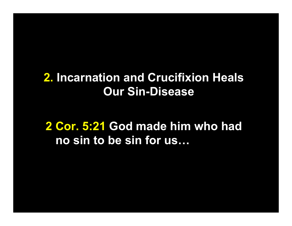### **2. Incarnation and Crucifixion Heals Our Sin-Disease**

**2 Cor. 5:21 God made him who had no sin to be sin for us…**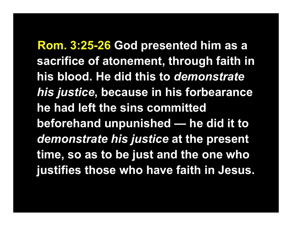**) Rom. 3:25-26 God presented him as a sacrifice of atonement, through faith in his blood. He did this to** *demonstrate his justice***, because in his forbearance he had left the sins committed beforehand unpunished — he did it to**  *demonstrate his justice* **at the present time, so as to be just and the one who justifies those who have faith in Jesus.**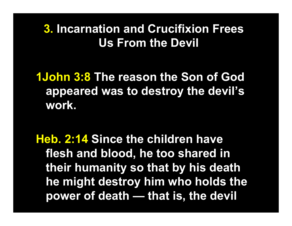### **3. Incarnation and Crucifixion Frees Us From the Devil**

### **1John 3:8 The reason the Son of God appeared was to destroy the devil's work.**

**Heb. 2:14 Since the children have flesh and blood, he too shared in their humanity so that by his death he might destroy him who holds the power of death — that is, the devil…**